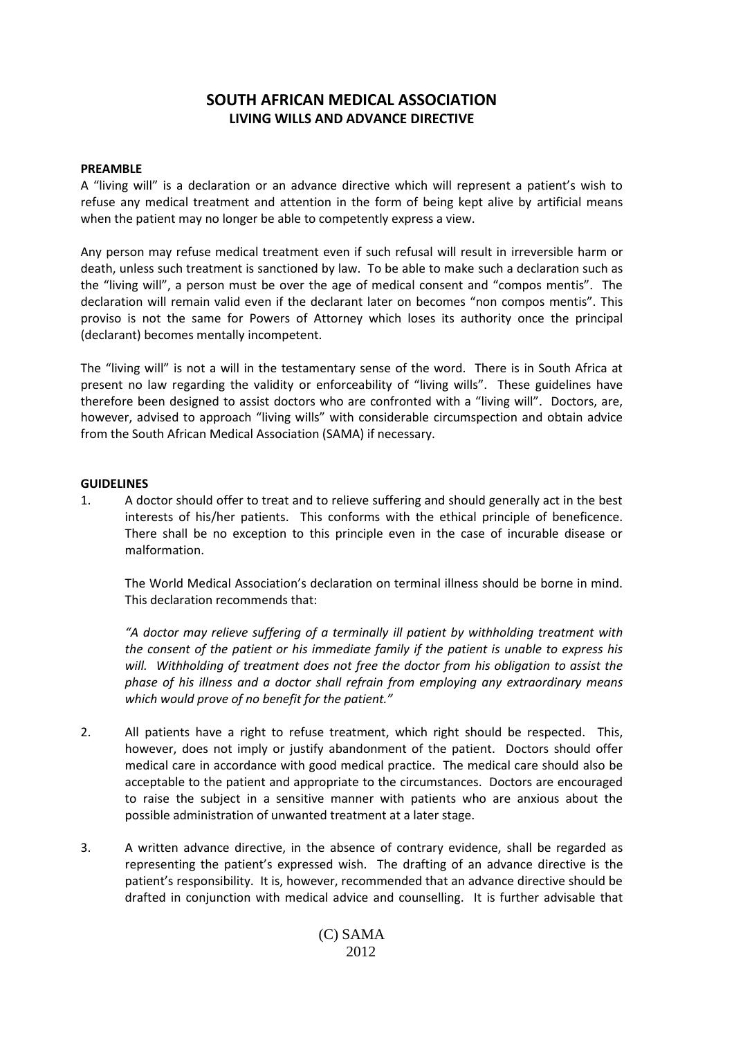# **SOUTH AFRICAN MEDICAL ASSOCIATION LIVING WILLS AND ADVANCE DIRECTIVE**

### **PREAMBLE**

A "living will" is a declaration or an advance directive which will represent a patient's wish to refuse any medical treatment and attention in the form of being kept alive by artificial means when the patient may no longer be able to competently express a view.

Any person may refuse medical treatment even if such refusal will result in irreversible harm or death, unless such treatment is sanctioned by law. To be able to make such a declaration such as the "living will", a person must be over the age of medical consent and "compos mentis". The declaration will remain valid even if the declarant later on becomes "non compos mentis". This proviso is not the same for Powers of Attorney which loses its authority once the principal (declarant) becomes mentally incompetent.

The "living will" is not a will in the testamentary sense of the word. There is in South Africa at present no law regarding the validity or enforceability of "living wills". These guidelines have therefore been designed to assist doctors who are confronted with a "living will". Doctors, are, however, advised to approach "living wills" with considerable circumspection and obtain advice from the South African Medical Association (SAMA) if necessary.

### **GUIDELINES**

1. A doctor should offer to treat and to relieve suffering and should generally act in the best interests of his/her patients. This conforms with the ethical principle of beneficence. There shall be no exception to this principle even in the case of incurable disease or malformation.

The World Medical Association's declaration on terminal illness should be borne in mind. This declaration recommends that:

*"A doctor may relieve suffering of a terminally ill patient by withholding treatment with the consent of the patient or his immediate family if the patient is unable to express his will. Withholding of treatment does not free the doctor from his obligation to assist the phase of his illness and a doctor shall refrain from employing any extraordinary means which would prove of no benefit for the patient."*

- 2. All patients have a right to refuse treatment, which right should be respected. This, however, does not imply or justify abandonment of the patient. Doctors should offer medical care in accordance with good medical practice. The medical care should also be acceptable to the patient and appropriate to the circumstances. Doctors are encouraged to raise the subject in a sensitive manner with patients who are anxious about the possible administration of unwanted treatment at a later stage.
- 3. A written advance directive, in the absence of contrary evidence, shall be regarded as representing the patient's expressed wish. The drafting of an advance directive is the patient's responsibility. It is, however, recommended that an advance directive should be drafted in conjunction with medical advice and counselling. It is further advisable that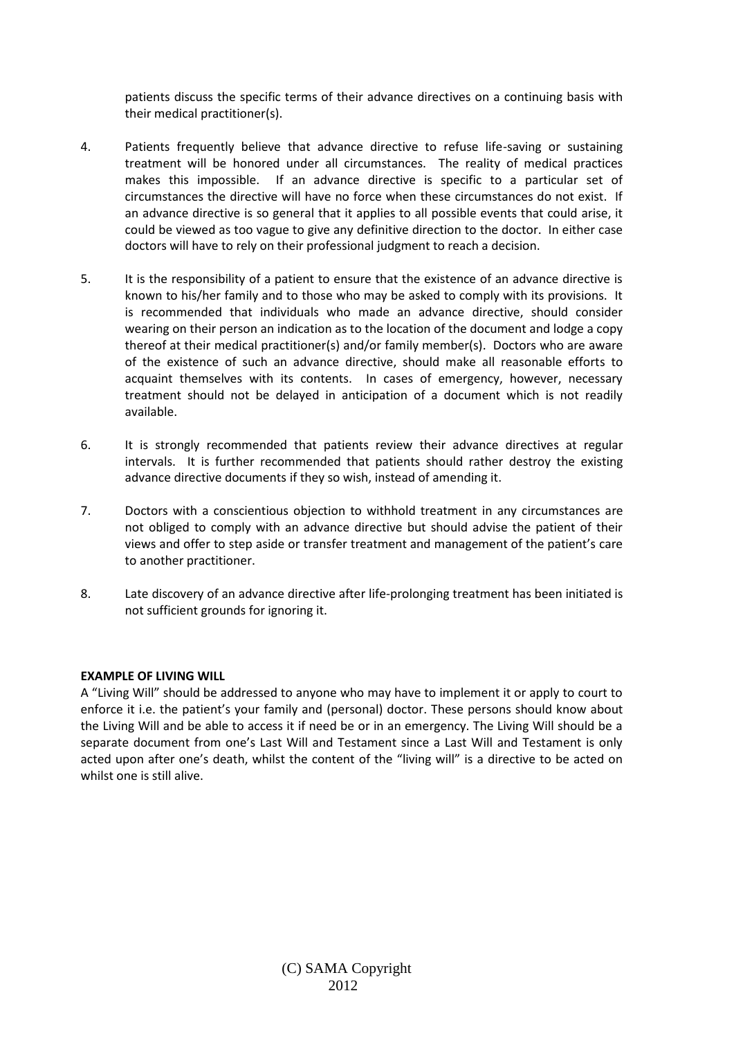patients discuss the specific terms of their advance directives on a continuing basis with their medical practitioner(s).

- 4. Patients frequently believe that advance directive to refuse life-saving or sustaining treatment will be honored under all circumstances. The reality of medical practices makes this impossible. If an advance directive is specific to a particular set of circumstances the directive will have no force when these circumstances do not exist. If an advance directive is so general that it applies to all possible events that could arise, it could be viewed as too vague to give any definitive direction to the doctor. In either case doctors will have to rely on their professional judgment to reach a decision.
- 5. It is the responsibility of a patient to ensure that the existence of an advance directive is known to his/her family and to those who may be asked to comply with its provisions. It is recommended that individuals who made an advance directive, should consider wearing on their person an indication as to the location of the document and lodge a copy thereof at their medical practitioner(s) and/or family member(s). Doctors who are aware of the existence of such an advance directive, should make all reasonable efforts to acquaint themselves with its contents. In cases of emergency, however, necessary treatment should not be delayed in anticipation of a document which is not readily available.
- 6. It is strongly recommended that patients review their advance directives at regular intervals. It is further recommended that patients should rather destroy the existing advance directive documents if they so wish, instead of amending it.
- 7. Doctors with a conscientious objection to withhold treatment in any circumstances are not obliged to comply with an advance directive but should advise the patient of their views and offer to step aside or transfer treatment and management of the patient's care to another practitioner.
- 8. Late discovery of an advance directive after life-prolonging treatment has been initiated is not sufficient grounds for ignoring it.

### **EXAMPLE OF LIVING WILL**

A "Living Will" should be addressed to anyone who may have to implement it or apply to court to enforce it i.e. the patient's your family and (personal) doctor. These persons should know about the Living Will and be able to access it if need be or in an emergency. The Living Will should be a separate document from one's Last Will and Testament since a Last Will and Testament is only acted upon after one's death, whilst the content of the "living will" is a directive to be acted on whilst one is still alive.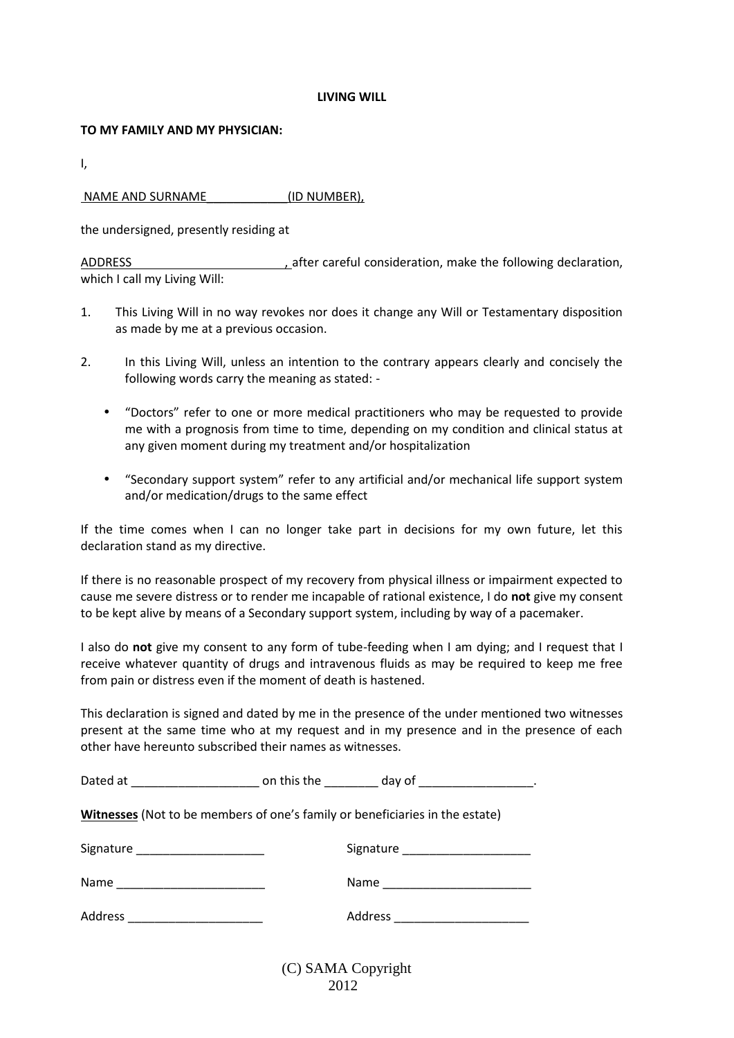#### **LIVING WILL**

#### **TO MY FAMILY AND MY PHYSICIAN:**

I,

## NAME AND SURNAME (ID NUMBER),

the undersigned, presently residing at

ADDRESS had a state of the careful consideration, make the following declaration, which I call my Living Will:

- 1. This Living Will in no way revokes nor does it change any Will or Testamentary disposition as made by me at a previous occasion.
- 2. In this Living Will, unless an intention to the contrary appears clearly and concisely the following words carry the meaning as stated: -
	- "Doctors" refer to one or more medical practitioners who may be requested to provide me with a prognosis from time to time, depending on my condition and clinical status at any given moment during my treatment and/or hospitalization
	- "Secondary support system" refer to any artificial and/or mechanical life support system and/or medication/drugs to the same effect

If the time comes when I can no longer take part in decisions for my own future, let this declaration stand as my directive.

If there is no reasonable prospect of my recovery from physical illness or impairment expected to cause me severe distress or to render me incapable of rational existence, I do **not** give my consent to be kept alive by means of a Secondary support system, including by way of a pacemaker.

I also do **not** give my consent to any form of tube-feeding when I am dying; and I request that I receive whatever quantity of drugs and intravenous fluids as may be required to keep me free from pain or distress even if the moment of death is hastened.

This declaration is signed and dated by me in the presence of the under mentioned two witnesses present at the same time who at my request and in my presence and in the presence of each other have hereunto subscribed their names as witnesses.

| Witnesses (Not to be members of one's family or beneficiaries in the estate) |  |                                   |
|------------------------------------------------------------------------------|--|-----------------------------------|
| Signature ________________________                                           |  | Signature _______________________ |
|                                                                              |  |                                   |
| Address ________________________                                             |  | Address _________________________ |
| (C) SAMA Copyright                                                           |  |                                   |

2012